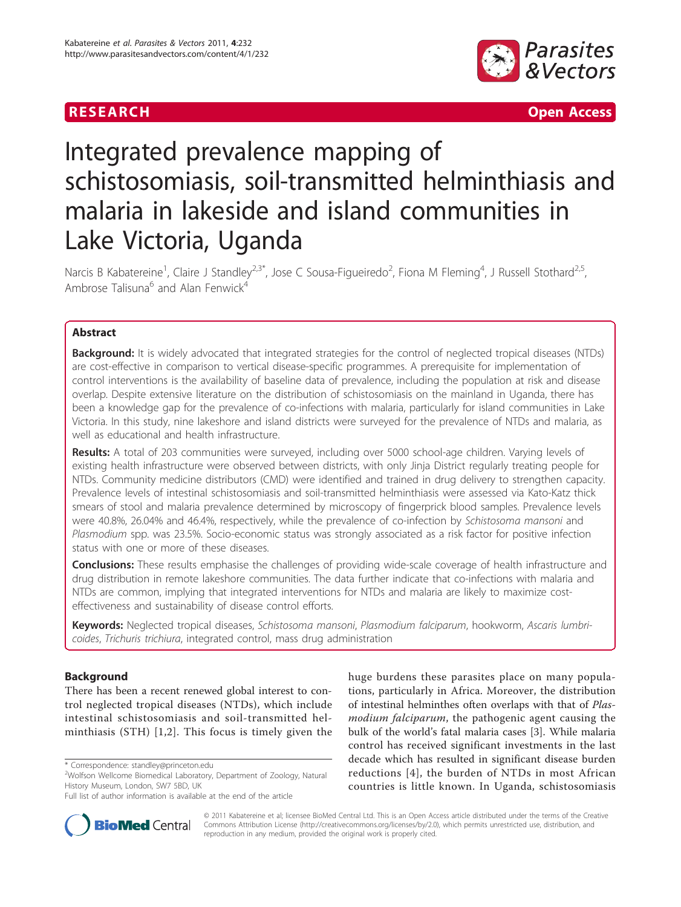

**RESEARCH CONTROL** CONTROL CONTROL CONTROL CONTROL CONTROL CONTROL CONTROL CONTROL CONTROL CONTROL CONTROL CONTROL CONTROL CONTROL CONTROL CONTROL CONTROL CONTROL CONTROL CONTROL CONTROL CONTROL CONTROL CONTROL CONTROL CON

# Integrated prevalence mapping of schistosomiasis, soil-transmitted helminthiasis and malaria in lakeside and island communities in Lake Victoria, Uganda

Narcis B Kabatereine<sup>1</sup>, Claire J Standley<sup>2,3\*</sup>, Jose C Sousa-Figueiredo<sup>2</sup>, Fiona M Fleming<sup>4</sup>, J Russell Stothard<sup>2,5</sup>, Ambrose Talisuna<sup>6</sup> and Alan Fenwick<sup>4</sup>

# Abstract

Background: It is widely advocated that integrated strategies for the control of neglected tropical diseases (NTDs) are cost-effective in comparison to vertical disease-specific programmes. A prerequisite for implementation of control interventions is the availability of baseline data of prevalence, including the population at risk and disease overlap. Despite extensive literature on the distribution of schistosomiasis on the mainland in Uganda, there has been a knowledge gap for the prevalence of co-infections with malaria, particularly for island communities in Lake Victoria. In this study, nine lakeshore and island districts were surveyed for the prevalence of NTDs and malaria, as well as educational and health infrastructure.

Results: A total of 203 communities were surveyed, including over 5000 school-age children. Varying levels of existing health infrastructure were observed between districts, with only Jinja District regularly treating people for NTDs. Community medicine distributors (CMD) were identified and trained in drug delivery to strengthen capacity. Prevalence levels of intestinal schistosomiasis and soil-transmitted helminthiasis were assessed via Kato-Katz thick smears of stool and malaria prevalence determined by microscopy of fingerprick blood samples. Prevalence levels were 40.8%, 26.04% and 46.4%, respectively, while the prevalence of co-infection by Schistosoma mansoni and Plasmodium spp. was 23.5%. Socio-economic status was strongly associated as a risk factor for positive infection status with one or more of these diseases.

**Conclusions:** These results emphasise the challenges of providing wide-scale coverage of health infrastructure and drug distribution in remote lakeshore communities. The data further indicate that co-infections with malaria and NTDs are common, implying that integrated interventions for NTDs and malaria are likely to maximize costeffectiveness and sustainability of disease control efforts.

Keywords: Neglected tropical diseases, Schistosoma mansoni, Plasmodium falciparum, hookworm, Ascaris lumbricoides, Trichuris trichiura, integrated control, mass drug administration

# Background

There has been a recent renewed global interest to control neglected tropical diseases (NTDs), which include intestinal schistosomiasis and soil-transmitted helminthiasis (STH) [\[1,2](#page-12-0)]. This focus is timely given the

\* Correspondence: [standley@princeton.edu](mailto:standley@princeton.edu)

Full list of author information is available at the end of the article





© 2011 Kabatereine et al; licensee BioMed Central Ltd. This is an Open Access article distributed under the terms of the Creative Commons Attribution License [\(http://creativecommons.org/licenses/by/2.0](http://creativecommons.org/licenses/by/2.0)), which permits unrestricted use, distribution, and reproduction in any medium, provided the original work is properly cited.

<sup>&</sup>lt;sup>2</sup>Wolfson Wellcome Biomedical Laboratory, Department of Zoology, Natural History Museum, London, SW7 5BD, UK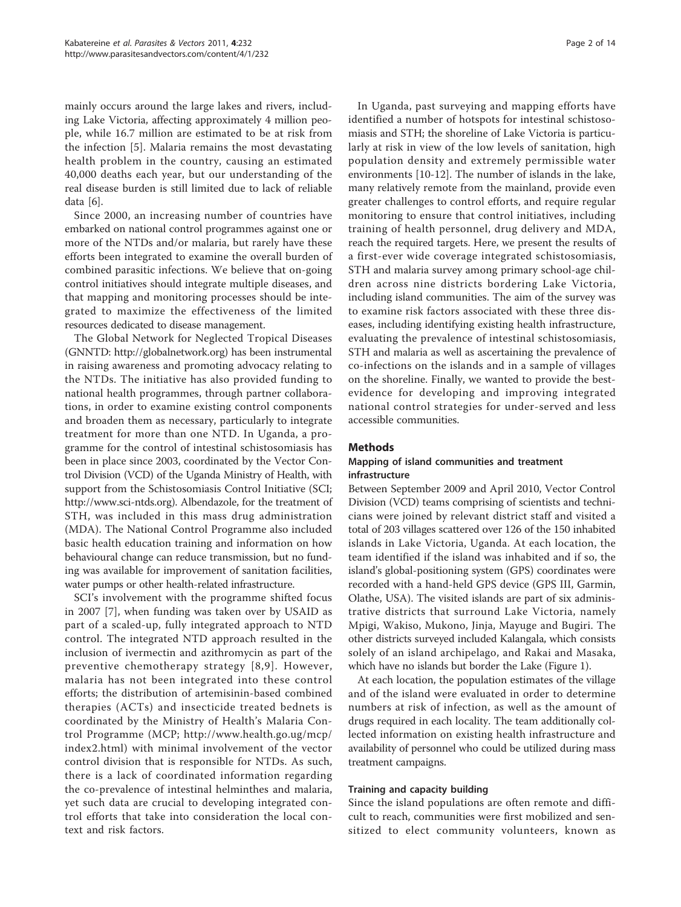mainly occurs around the large lakes and rivers, including Lake Victoria, affecting approximately 4 million people, while 16.7 million are estimated to be at risk from the infection [[5\]](#page-12-0). Malaria remains the most devastating health problem in the country, causing an estimated 40,000 deaths each year, but our understanding of the real disease burden is still limited due to lack of reliable data [\[6](#page-12-0)].

Since 2000, an increasing number of countries have embarked on national control programmes against one or more of the NTDs and/or malaria, but rarely have these efforts been integrated to examine the overall burden of combined parasitic infections. We believe that on-going control initiatives should integrate multiple diseases, and that mapping and monitoring processes should be integrated to maximize the effectiveness of the limited resources dedicated to disease management.

The Global Network for Neglected Tropical Diseases (GNNTD: [http://globalnetwork.org\)](http://globalnetwork.org) has been instrumental in raising awareness and promoting advocacy relating to the NTDs. The initiative has also provided funding to national health programmes, through partner collaborations, in order to examine existing control components and broaden them as necessary, particularly to integrate treatment for more than one NTD. In Uganda, a programme for the control of intestinal schistosomiasis has been in place since 2003, coordinated by the Vector Control Division (VCD) of the Uganda Ministry of Health, with support from the Schistosomiasis Control Initiative (SCI; <http://www.sci-ntds.org>). Albendazole, for the treatment of STH, was included in this mass drug administration (MDA). The National Control Programme also included basic health education training and information on how behavioural change can reduce transmission, but no funding was available for improvement of sanitation facilities, water pumps or other health-related infrastructure.

SCI's involvement with the programme shifted focus in 2007 [[7\]](#page-12-0), when funding was taken over by USAID as part of a scaled-up, fully integrated approach to NTD control. The integrated NTD approach resulted in the inclusion of ivermectin and azithromycin as part of the preventive chemotherapy strategy [[8,9\]](#page-12-0). However, malaria has not been integrated into these control efforts; the distribution of artemisinin-based combined therapies (ACTs) and insecticide treated bednets is coordinated by the Ministry of Health's Malaria Control Programme (MCP; [http://www.health.go.ug/mcp/](http://www.health.go.ug/mcp/index2.html) [index2.html](http://www.health.go.ug/mcp/index2.html)) with minimal involvement of the vector control division that is responsible for NTDs. As such, there is a lack of coordinated information regarding the co-prevalence of intestinal helminthes and malaria, yet such data are crucial to developing integrated control efforts that take into consideration the local context and risk factors.

In Uganda, past surveying and mapping efforts have identified a number of hotspots for intestinal schistosomiasis and STH; the shoreline of Lake Victoria is particularly at risk in view of the low levels of sanitation, high population density and extremely permissible water environments [[10-12](#page-12-0)]. The number of islands in the lake, many relatively remote from the mainland, provide even greater challenges to control efforts, and require regular monitoring to ensure that control initiatives, including training of health personnel, drug delivery and MDA, reach the required targets. Here, we present the results of a first-ever wide coverage integrated schistosomiasis, STH and malaria survey among primary school-age children across nine districts bordering Lake Victoria, including island communities. The aim of the survey was to examine risk factors associated with these three diseases, including identifying existing health infrastructure, evaluating the prevalence of intestinal schistosomiasis, STH and malaria as well as ascertaining the prevalence of co-infections on the islands and in a sample of villages on the shoreline. Finally, we wanted to provide the bestevidence for developing and improving integrated national control strategies for under-served and less accessible communities.

#### Methods

## Mapping of island communities and treatment infrastructure

Between September 2009 and April 2010, Vector Control Division (VCD) teams comprising of scientists and technicians were joined by relevant district staff and visited a total of 203 villages scattered over 126 of the 150 inhabited islands in Lake Victoria, Uganda. At each location, the team identified if the island was inhabited and if so, the island's global-positioning system (GPS) coordinates were recorded with a hand-held GPS device (GPS III, Garmin, Olathe, USA). The visited islands are part of six administrative districts that surround Lake Victoria, namely Mpigi, Wakiso, Mukono, Jinja, Mayuge and Bugiri. The other districts surveyed included Kalangala, which consists solely of an island archipelago, and Rakai and Masaka, which have no islands but border the Lake (Figure [1](#page-2-0)).

At each location, the population estimates of the village and of the island were evaluated in order to determine numbers at risk of infection, as well as the amount of drugs required in each locality. The team additionally collected information on existing health infrastructure and availability of personnel who could be utilized during mass treatment campaigns.

#### Training and capacity building

Since the island populations are often remote and difficult to reach, communities were first mobilized and sensitized to elect community volunteers, known as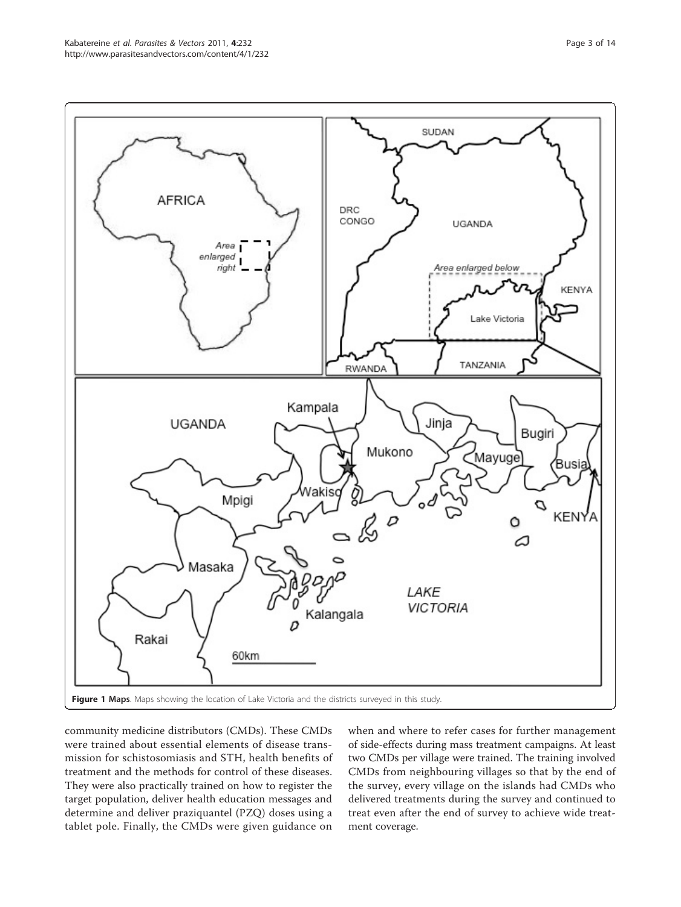<span id="page-2-0"></span>

community medicine distributors (CMDs). These CMDs were trained about essential elements of disease transmission for schistosomiasis and STH, health benefits of treatment and the methods for control of these diseases. They were also practically trained on how to register the target population, deliver health education messages and determine and deliver praziquantel (PZQ) doses using a tablet pole. Finally, the CMDs were given guidance on

when and where to refer cases for further management of side-effects during mass treatment campaigns. At least two CMDs per village were trained. The training involved CMDs from neighbouring villages so that by the end of the survey, every village on the islands had CMDs who delivered treatments during the survey and continued to treat even after the end of survey to achieve wide treatment coverage.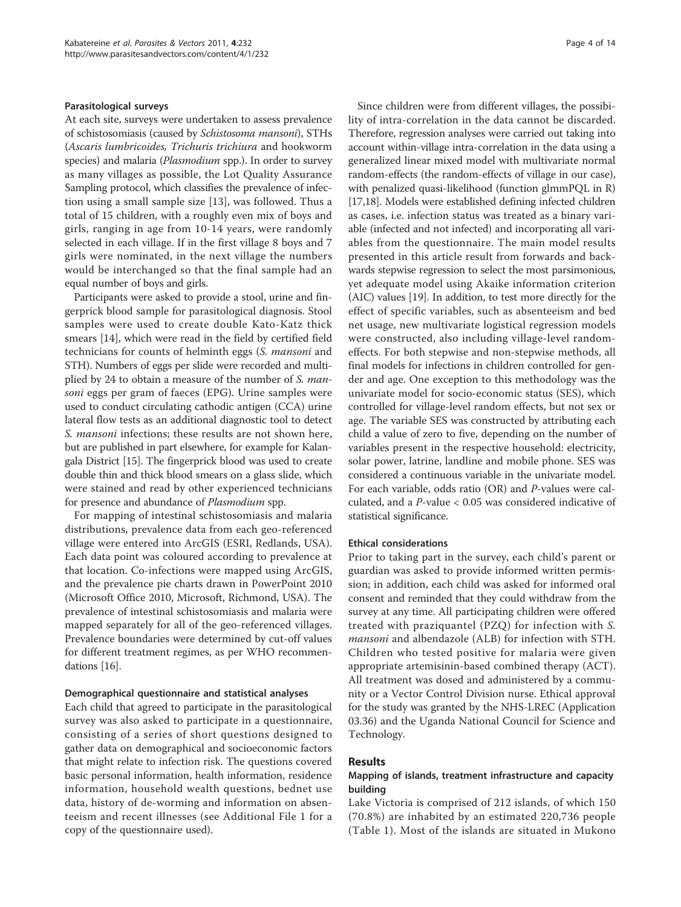#### Parasitological surveys

At each site, surveys were undertaken to assess prevalence of schistosomiasis (caused by Schistosoma mansoni), STHs (Ascaris lumbricoides, Trichuris trichiura and hookworm species) and malaria (Plasmodium spp.). In order to survey as many villages as possible, the Lot Quality Assurance Sampling protocol, which classifies the prevalence of infection using a small sample size [[13\]](#page-12-0), was followed. Thus a total of 15 children, with a roughly even mix of boys and girls, ranging in age from 10-14 years, were randomly selected in each village. If in the first village 8 boys and 7 girls were nominated, in the next village the numbers would be interchanged so that the final sample had an equal number of boys and girls.

Participants were asked to provide a stool, urine and fingerprick blood sample for parasitological diagnosis. Stool samples were used to create double Kato-Katz thick smears [[14](#page-12-0)], which were read in the field by certified field technicians for counts of helminth eggs (S. mansoni and STH). Numbers of eggs per slide were recorded and multiplied by 24 to obtain a measure of the number of S. mansoni eggs per gram of faeces (EPG). Urine samples were used to conduct circulating cathodic antigen (CCA) urine lateral flow tests as an additional diagnostic tool to detect S. *mansoni* infections; these results are not shown here, but are published in part elsewhere, for example for Kalangala District [\[15](#page-12-0)]. The fingerprick blood was used to create double thin and thick blood smears on a glass slide, which were stained and read by other experienced technicians for presence and abundance of Plasmodium spp.

For mapping of intestinal schistosomiasis and malaria distributions, prevalence data from each geo-referenced village were entered into ArcGIS (ESRI, Redlands, USA). Each data point was coloured according to prevalence at that location. Co-infections were mapped using ArcGIS, and the prevalence pie charts drawn in PowerPoint 2010 (Microsoft Office 2010, Microsoft, Richmond, USA). The prevalence of intestinal schistosomiasis and malaria were mapped separately for all of the geo-referenced villages. Prevalence boundaries were determined by cut-off values for different treatment regimes, as per WHO recommendations [\[16\]](#page-12-0).

#### Demographical questionnaire and statistical analyses

Each child that agreed to participate in the parasitological survey was also asked to participate in a questionnaire, consisting of a series of short questions designed to gather data on demographical and socioeconomic factors that might relate to infection risk. The questions covered basic personal information, health information, residence information, household wealth questions, bednet use data, history of de-worming and information on absenteeism and recent illnesses (see Additional File [1](#page-12-0) for a copy of the questionnaire used).

Since children were from different villages, the possibility of intra-correlation in the data cannot be discarded. Therefore, regression analyses were carried out taking into account within-village intra-correlation in the data using a generalized linear mixed model with multivariate normal random-effects (the random-effects of village in our case), with penalized quasi-likelihood (function glmmPQL in R) [[17,18\]](#page-12-0). Models were established defining infected children as cases, i.e. infection status was treated as a binary variable (infected and not infected) and incorporating all variables from the questionnaire. The main model results presented in this article result from forwards and backwards stepwise regression to select the most parsimonious, yet adequate model using Akaike information criterion (AIC) values [[19](#page-12-0)]. In addition, to test more directly for the effect of specific variables, such as absenteeism and bed net usage, new multivariate logistical regression models were constructed, also including village-level randomeffects. For both stepwise and non-stepwise methods, all final models for infections in children controlled for gender and age. One exception to this methodology was the univariate model for socio-economic status (SES), which controlled for village-level random effects, but not sex or age. The variable SES was constructed by attributing each child a value of zero to five, depending on the number of variables present in the respective household: electricity, solar power, latrine, landline and mobile phone. SES was considered a continuous variable in the univariate model. For each variable, odds ratio (OR) and P-values were calculated, and a P-value < 0.05 was considered indicative of statistical significance.

#### Ethical considerations

Prior to taking part in the survey, each child's parent or guardian was asked to provide informed written permission; in addition, each child was asked for informed oral consent and reminded that they could withdraw from the survey at any time. All participating children were offered treated with praziquantel (PZQ) for infection with S. mansoni and albendazole (ALB) for infection with STH. Children who tested positive for malaria were given appropriate artemisinin-based combined therapy (ACT). All treatment was dosed and administered by a community or a Vector Control Division nurse. Ethical approval for the study was granted by the NHS-LREC (Application 03.36) and the Uganda National Council for Science and Technology.

#### Results

# Mapping of islands, treatment infrastructure and capacity building

Lake Victoria is comprised of 212 islands, of which 150 (70.8%) are inhabited by an estimated 220,736 people (Table [1\)](#page-4-0). Most of the islands are situated in Mukono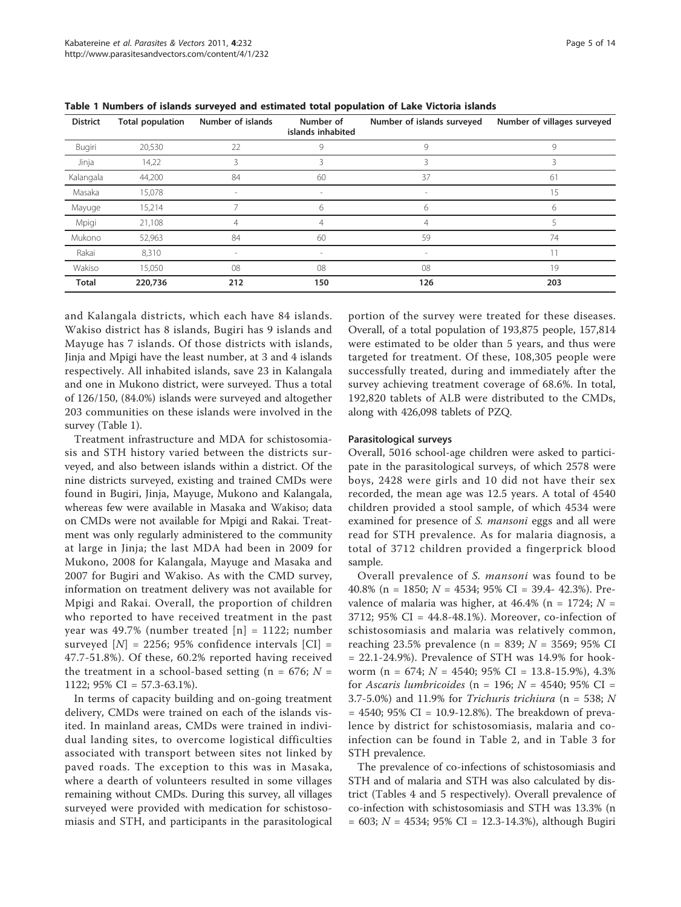| <b>District</b> | <b>Total population</b> | Number of islands        | Number of<br>islands inhabited | Number of islands surveyed | Number of villages surveyed |
|-----------------|-------------------------|--------------------------|--------------------------------|----------------------------|-----------------------------|
| Bugiri          | 20,530                  | 22                       | 9                              | 9                          | 9                           |
| Jinja           | 14,22                   | ς                        | ξ                              |                            | ξ                           |
| Kalangala       | 44,200                  | 84                       | 60                             | 37                         | 61                          |
| Masaka          | 15,078                  | $\overline{\phantom{a}}$ | $\overline{\phantom{a}}$       |                            | 15                          |
| Mayuge          | 15,214                  |                          | 6                              | 6                          | 6                           |
| Mpigi           | 21,108                  | 4                        | 4                              |                            | 5                           |
| Mukono          | 52,963                  | 84                       | 60                             | 59                         | 74                          |
| Rakai           | 8,310                   | $\overline{\phantom{a}}$ | $\overline{\phantom{a}}$       | $\overline{a}$             | 11                          |
| Wakiso          | 15,050                  | 08                       | 08                             | 08                         | 19                          |
| <b>Total</b>    | 220,736                 | 212                      | 150                            | 126                        | 203                         |

<span id="page-4-0"></span>Table 1 Numbers of islands surveyed and estimated total population of Lake Victoria islands

and Kalangala districts, which each have 84 islands. Wakiso district has 8 islands, Bugiri has 9 islands and Mayuge has 7 islands. Of those districts with islands, Jinja and Mpigi have the least number, at 3 and 4 islands respectively. All inhabited islands, save 23 in Kalangala and one in Mukono district, were surveyed. Thus a total of 126/150, (84.0%) islands were surveyed and altogether 203 communities on these islands were involved in the survey (Table 1).

Treatment infrastructure and MDA for schistosomiasis and STH history varied between the districts surveyed, and also between islands within a district. Of the nine districts surveyed, existing and trained CMDs were found in Bugiri, Jinja, Mayuge, Mukono and Kalangala, whereas few were available in Masaka and Wakiso; data on CMDs were not available for Mpigi and Rakai. Treatment was only regularly administered to the community at large in Jinja; the last MDA had been in 2009 for Mukono, 2008 for Kalangala, Mayuge and Masaka and 2007 for Bugiri and Wakiso. As with the CMD survey, information on treatment delivery was not available for Mpigi and Rakai. Overall, the proportion of children who reported to have received treatment in the past year was 49.7% (number treated  $[n] = 1122$ ; number surveyed  $[N] = 2256$ ; 95% confidence intervals  $|CI| =$ 47.7-51.8%). Of these, 60.2% reported having received the treatment in a school-based setting (n = 676;  $N =$ 1122;  $95\%$  CI = 57.3-63.1%).

In terms of capacity building and on-going treatment delivery, CMDs were trained on each of the islands visited. In mainland areas, CMDs were trained in individual landing sites, to overcome logistical difficulties associated with transport between sites not linked by paved roads. The exception to this was in Masaka, where a dearth of volunteers resulted in some villages remaining without CMDs. During this survey, all villages surveyed were provided with medication for schistosomiasis and STH, and participants in the parasitological

portion of the survey were treated for these diseases. Overall, of a total population of 193,875 people, 157,814 were estimated to be older than 5 years, and thus were targeted for treatment. Of these, 108,305 people were successfully treated, during and immediately after the survey achieving treatment coverage of 68.6%. In total, 192,820 tablets of ALB were distributed to the CMDs, along with 426,098 tablets of PZQ.

#### Parasitological surveys

Overall, 5016 school-age children were asked to participate in the parasitological surveys, of which 2578 were boys, 2428 were girls and 10 did not have their sex recorded, the mean age was 12.5 years. A total of 4540 children provided a stool sample, of which 4534 were examined for presence of S. mansoni eggs and all were read for STH prevalence. As for malaria diagnosis, a total of 3712 children provided a fingerprick blood sample.

Overall prevalence of S. mansoni was found to be 40.8% (n = 1850;  $N = 4534$ ; 95% CI = 39.4- 42.3%). Prevalence of malaria was higher, at 46.4% (n = 1724;  $N =$ 3712; 95% CI = 44.8-48.1%). Moreover, co-infection of schistosomiasis and malaria was relatively common, reaching 23.5% prevalence (n = 839;  $N = 3569$ ; 95% CI  $= 22.1 - 24.9\%$ ). Prevalence of STH was 14.9% for hookworm (n = 674;  $N = 4540$ ; 95% CI = 13.8-15.9%), 4.3% for Ascaris lumbricoides (n = 196;  $N = 4540$ ; 95% CI = 3.7-5.0%) and 11.9% for *Trichuris trichiura* ( $n = 538$ ; N  $= 4540$ ; 95% CI = 10.9-12.8%). The breakdown of prevalence by district for schistosomiasis, malaria and coinfection can be found in Table [2](#page-5-0), and in Table [3](#page-5-0) for STH prevalence.

The prevalence of co-infections of schistosomiasis and STH and of malaria and STH was also calculated by district (Tables [4](#page-6-0) and [5](#page-10-0) respectively). Overall prevalence of co-infection with schistosomiasis and STH was 13.3% (n  $= 603$ ;  $N = 4534$ ; 95% CI = 12.3-14.3%), although Bugiri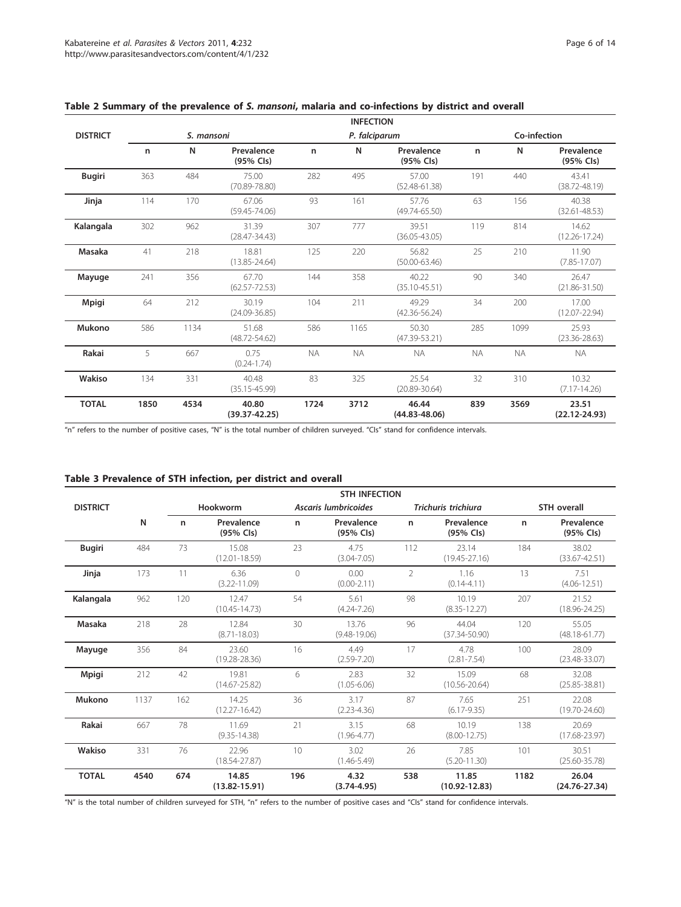|                 |      |            |                            |           | <b>INFECTION</b> |                            |              |           |                            |
|-----------------|------|------------|----------------------------|-----------|------------------|----------------------------|--------------|-----------|----------------------------|
| <b>DISTRICT</b> |      | S. mansoni |                            |           | P. falciparum    |                            | Co-infection |           |                            |
|                 | n    | N          | Prevalence<br>(95% Cls)    | n         | N                | Prevalence<br>(95% Cls)    | n            | N         | Prevalence<br>(95% Cls)    |
| <b>Bugiri</b>   | 363  | 484        | 75.00<br>$(70.89 - 78.80)$ | 282       | 495              | 57.00<br>$(52.48 - 61.38)$ | 191          | 440       | 43.41<br>$(38.72 - 48.19)$ |
| Jinja           | 114  | 170        | 67.06<br>$(59.45 - 74.06)$ | 93        | 161              | 57.76<br>$(49.74 - 65.50)$ | 63           | 156       | 40.38<br>$(32.61 - 48.53)$ |
| Kalangala       | 302  | 962        | 31.39<br>$(28.47 - 34.43)$ | 307       | 777              | 39.51<br>$(36.05 - 43.05)$ | 119          | 814       | 14.62<br>$(12.26 - 17.24)$ |
| <b>Masaka</b>   | 41   | 218        | 18.81<br>$(13.85 - 24.64)$ | 125       | 220              | 56.82<br>$(50.00 - 63.46)$ | 25           | 210       | 11.90<br>$(7.85 - 17.07)$  |
| Mayuge          | 241  | 356        | 67.70<br>$(62.57 - 72.53)$ | 144       | 358              | 40.22<br>$(35.10 - 45.51)$ | 90           | 340       | 26.47<br>$(21.86 - 31.50)$ |
| Mpigi           | 64   | 212        | 30.19<br>$(24.09 - 36.85)$ | 104       | 211              | 49.29<br>$(42.36 - 56.24)$ | 34           | 200       | 17.00<br>$(12.07 - 22.94)$ |
| <b>Mukono</b>   | 586  | 1134       | 51.68<br>$(48.72 - 54.62)$ | 586       | 1165             | 50.30<br>$(47.39 - 53.21)$ | 285          | 1099      | 25.93<br>$(23.36 - 28.63)$ |
| Rakai           | 5    | 667        | 0.75<br>$(0.24 - 1.74)$    | <b>NA</b> | <b>NA</b>        | <b>NA</b>                  | <b>NA</b>    | <b>NA</b> | <b>NA</b>                  |
| Wakiso          | 134  | 331        | 40.48<br>$(35.15 - 45.99)$ | 83        | 325              | 25.54<br>$(20.89 - 30.64)$ | 32           | 310       | 10.32<br>$(7.17 - 14.26)$  |
| <b>TOTAL</b>    | 1850 | 4534       | 40.80<br>$(39.37 - 42.25)$ | 1724      | 3712             | 46.44<br>$(44.83 - 48.06)$ | 839          | 3569      | 23.51<br>$(22.12 - 24.93)$ |

#### <span id="page-5-0"></span>Table 2 Summary of the prevalence of S. mansoni, malaria and co-infections by district and overall

"n" refers to the number of positive cases, "N" is the total number of children surveyed. "CIs" stand for confidence intervals.

# Table 3 Prevalence of STH infection, per district and overall

|                 |      | <b>STH INFECTION</b> |                            |                             |                           |                     |                            |                    |                            |  |  |  |
|-----------------|------|----------------------|----------------------------|-----------------------------|---------------------------|---------------------|----------------------------|--------------------|----------------------------|--|--|--|
| <b>DISTRICT</b> |      | <b>Hookworm</b>      |                            | <b>Ascaris lumbricoides</b> |                           | Trichuris trichiura |                            | <b>STH overall</b> |                            |  |  |  |
|                 | N    | $\mathsf{n}$         | Prevalence<br>$(95%$ Cls)  | n                           | Prevalence<br>$(95%$ Cls) | n                   | Prevalence<br>(95% Cls)    | n                  | Prevalence<br>(95% Cls)    |  |  |  |
| <b>Bugiri</b>   | 484  | 73                   | 15.08<br>$(12.01 - 18.59)$ | 23                          | 4.75<br>$(3.04 - 7.05)$   | 112                 | 23.14<br>$(19.45 - 27.16)$ | 184                | 38.02<br>$(33.67 - 42.51)$ |  |  |  |
| Jinja           | 173  | 11                   | 6.36<br>$(3.22 - 11.09)$   | $\Omega$                    | 0.00<br>$(0.00 - 2.11)$   | $\mathfrak{D}$      | 1.16<br>$(0.14 - 4.11)$    | 13                 | 7.51<br>$(4.06 - 12.51)$   |  |  |  |
| Kalangala       | 962  | 120                  | 12.47<br>$(10.45 - 14.73)$ | 54                          | 5.61<br>$(4.24 - 7.26)$   | 98                  | 10.19<br>$(8.35 - 12.27)$  | 207                | 21.52<br>$(18.96 - 24.25)$ |  |  |  |
| <b>Masaka</b>   | 218  | 28                   | 12.84<br>$(8.71 - 18.03)$  | 30                          | 13.76<br>$(9.48 - 19.06)$ | 96                  | 44.04<br>$(37.34 - 50.90)$ | 120                | 55.05<br>$(48.18 - 61.77)$ |  |  |  |
| Mayuge          | 356  | 84                   | 23.60<br>$(19.28 - 28.36)$ | 16                          | 4.49<br>$(2.59 - 7.20)$   | 17                  | 4.78<br>$(2.81 - 7.54)$    | 100                | 28.09<br>$(23.48 - 33.07)$ |  |  |  |
| Mpigi           | 212  | 42                   | 19.81<br>$(14.67 - 25.82)$ | 6                           | 2.83<br>$(1.05 - 6.06)$   | 32                  | 15.09<br>$(10.56 - 20.64)$ | 68                 | 32.08<br>$(25.85 - 38.81)$ |  |  |  |
| <b>Mukono</b>   | 1137 | 162                  | 14.25<br>$(12.27 - 16.42)$ | 36                          | 3.17<br>$(2.23 - 4.36)$   | 87                  | 7.65<br>$(6.17 - 9.35)$    | 251                | 22.08<br>$(19.70 - 24.60)$ |  |  |  |
| Rakai           | 667  | 78                   | 11.69<br>$(9.35 - 14.38)$  | 21                          | 3.15<br>$(1.96 - 4.77)$   | 68                  | 10.19<br>$(8.00 - 12.75)$  | 138                | 20.69<br>$(17.68 - 23.97)$ |  |  |  |
| Wakiso          | 331  | 76                   | 22.96<br>$(18.54 - 27.87)$ | 10                          | 3.02<br>$(1.46 - 5.49)$   | 26                  | 7.85<br>$(5.20 - 11.30)$   | 101                | 30.51<br>$(25.60 - 35.78)$ |  |  |  |
| <b>TOTAL</b>    | 4540 | 674                  | 14.85<br>$(13.82 - 15.91)$ | 196                         | 4.32<br>$(3.74 - 4.95)$   | 538                 | 11.85<br>$(10.92 - 12.83)$ | 1182               | 26.04<br>$(24.76 - 27.34)$ |  |  |  |

"N" is the total number of children surveyed for STH, "n" refers to the number of positive cases and "CIs" stand for confidence intervals.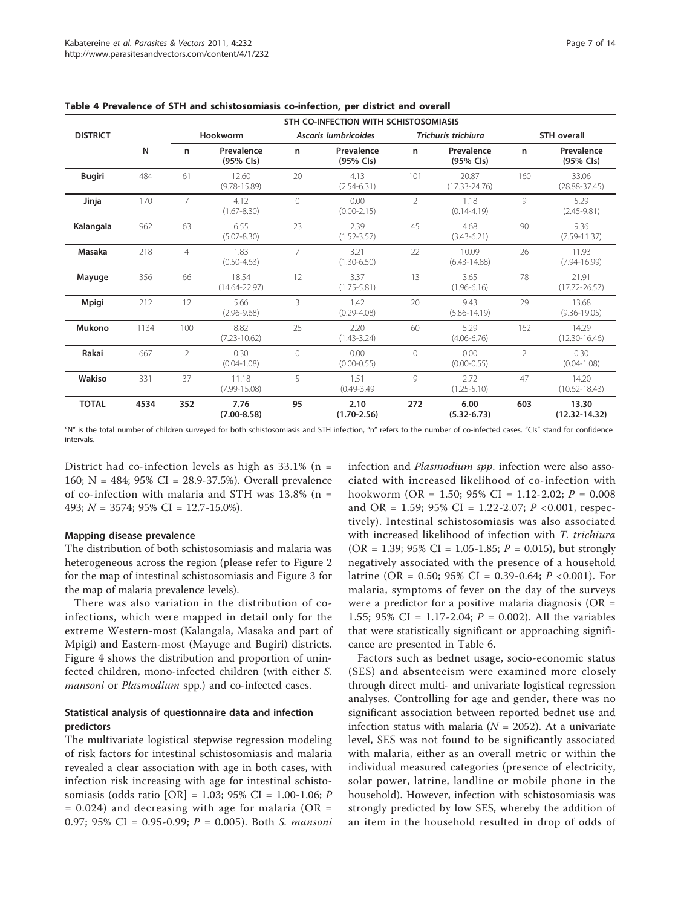|                 | STH CO-INFECTION WITH SCHISTOSOMIASIS |                 |                            |                      |                         |                     |                            |                    |                            |  |  |  |
|-----------------|---------------------------------------|-----------------|----------------------------|----------------------|-------------------------|---------------------|----------------------------|--------------------|----------------------------|--|--|--|
| <b>DISTRICT</b> |                                       | <b>Hookworm</b> |                            | Ascaris lumbricoides |                         | Trichuris trichiura |                            | <b>STH overall</b> |                            |  |  |  |
|                 | N                                     | n               | Prevalence<br>(95% Cls)    | n.                   | Prevalence<br>(95% Cls) | n                   | Prevalence<br>(95% Cls)    | n                  | Prevalence<br>(95% Cls)    |  |  |  |
| <b>Bugiri</b>   | 484                                   | 61              | 12.60<br>$(9.78 - 15.89)$  | 20                   | 4.13<br>$(2.54 - 6.31)$ | 101                 | 20.87<br>$(17.33 - 24.76)$ | 160                | 33.06<br>$(28.88 - 37.45)$ |  |  |  |
| Jinja           | 170                                   | $\overline{7}$  | 4.12<br>$(1.67 - 8.30)$    | $\bigcap$            | 0.00<br>$(0.00 - 2.15)$ | $\mathfrak{D}$      | 1.18<br>$(0.14 - 4.19)$    | 9                  | 5.29<br>$(2.45 - 9.81)$    |  |  |  |
| Kalangala       | 962                                   | 63              | 6.55<br>$(5.07 - 8.30)$    | 23                   | 2.39<br>$(1.52 - 3.57)$ | 45                  | 4.68<br>$(3.43 - 6.21)$    | 90                 | 9.36<br>$(7.59 - 11.37)$   |  |  |  |
| <b>Masaka</b>   | 218                                   | $\overline{4}$  | 1.83<br>$(0.50 - 4.63)$    | $\overline{7}$       | 3.21<br>$(1.30 - 6.50)$ | 22                  | 10.09<br>$(6.43 - 14.88)$  | 26                 | 11.93<br>$(7.94 - 16.99)$  |  |  |  |
| Mayuge          | 356                                   | 66              | 18.54<br>$(14.64 - 22.97)$ | 12                   | 3.37<br>$(1.75 - 5.81)$ | 13                  | 3.65<br>$(1.96 - 6.16)$    | 78                 | 21.91<br>$(17.72 - 26.57)$ |  |  |  |
| Mpigi           | 212                                   | 12              | 5.66<br>$(2.96 - 9.68)$    | 3                    | 1.42<br>$(0.29 - 4.08)$ | 20                  | 9.43<br>$(5.86 - 14.19)$   | 29                 | 13.68<br>$(9.36 - 19.05)$  |  |  |  |
| Mukono          | 1134                                  | 100             | 8.82<br>$(7.23 - 10.62)$   | 25                   | 2.20<br>$(1.43 - 3.24)$ | 60                  | 5.29<br>$(4.06 - 6.76)$    | 162                | 14.29<br>$(12.30 - 16.46)$ |  |  |  |
| Rakai           | 667                                   | $\mathcal{P}$   | 0.30<br>$(0.04 - 1.08)$    | $\Omega$             | 0.00<br>$(0.00 - 0.55)$ | $\Omega$            | 0.00<br>$(0.00 - 0.55)$    | $\mathcal{P}$      | 0.30<br>$(0.04 - 1.08)$    |  |  |  |
| Wakiso          | 331                                   | 37              | 11.18<br>$(7.99 - 15.08)$  | 5                    | 1.51<br>$(0.49 - 3.49)$ | $\circ$             | 2.72<br>$(1.25 - 5.10)$    | 47                 | 14.20<br>$(10.62 - 18.43)$ |  |  |  |
| <b>TOTAL</b>    | 4534                                  | 352             | 7.76<br>$(7.00 - 8.58)$    | 95                   | 2.10<br>$(1.70 - 2.56)$ | 272                 | 6.00<br>$(5.32 - 6.73)$    | 603                | 13.30<br>$(12.32 - 14.32)$ |  |  |  |

<span id="page-6-0"></span>Table 4 Prevalence of STH and schistosomiasis co-infection, per district and overall

"N" is the total number of children surveyed for both schistosomiasis and STH infection, "n" refers to the number of co-infected cases. "CIs" stand for confidence intervals.

District had co-infection levels as high as  $33.1\%$  (n = 160; N = 484; 95% CI = 28.9-37.5%). Overall prevalence of co-infection with malaria and STH was 13.8% (n = 493;  $N = 3574$ ; 95% CI = 12.7-15.0%).

#### Mapping disease prevalence

The distribution of both schistosomiasis and malaria was heterogeneous across the region (please refer to Figure [2](#page-7-0) for the map of intestinal schistosomiasis and Figure [3](#page-8-0) for the map of malaria prevalence levels).

There was also variation in the distribution of coinfections, which were mapped in detail only for the extreme Western-most (Kalangala, Masaka and part of Mpigi) and Eastern-most (Mayuge and Bugiri) districts. Figure [4](#page-9-0) shows the distribution and proportion of uninfected children, mono-infected children (with either S. mansoni or *Plasmodium* spp.) and co-infected cases.

#### Statistical analysis of questionnaire data and infection predictors

The multivariate logistical stepwise regression modeling of risk factors for intestinal schistosomiasis and malaria revealed a clear association with age in both cases, with infection risk increasing with age for intestinal schistosomiasis (odds ratio [OR] = 1.03; 95% CI = 1.00-1.06; P  $= 0.024$ ) and decreasing with age for malaria (OR  $=$ 0.97; 95% CI = 0.95-0.99;  $P = 0.005$ ). Both S. mansoni infection and *Plasmodium spp*. infection were also associated with increased likelihood of co-infection with hookworm (OR = 1.50; 95% CI = 1.12-2.02;  $P = 0.008$ and OR = 1.59; 95% CI = 1.22-2.07;  $P < 0.001$ , respectively). Intestinal schistosomiasis was also associated with increased likelihood of infection with T. trichiura  $(OR = 1.39; 95\% CI = 1.05-1.85; P = 0.015)$ , but strongly negatively associated with the presence of a household latrine (OR = 0.50; 95% CI = 0.39-0.64;  $P$  <0.001). For malaria, symptoms of fever on the day of the surveys were a predictor for a positive malaria diagnosis ( $OR =$ 1.55; 95% CI = 1.17-2.04;  $P = 0.002$ ). All the variables that were statistically significant or approaching significance are presented in Table [6](#page-10-0).

Factors such as bednet usage, socio-economic status (SES) and absenteeism were examined more closely through direct multi- and univariate logistical regression analyses. Controlling for age and gender, there was no significant association between reported bednet use and infection status with malaria ( $N = 2052$ ). At a univariate level, SES was not found to be significantly associated with malaria, either as an overall metric or within the individual measured categories (presence of electricity, solar power, latrine, landline or mobile phone in the household). However, infection with schistosomiasis was strongly predicted by low SES, whereby the addition of an item in the household resulted in drop of odds of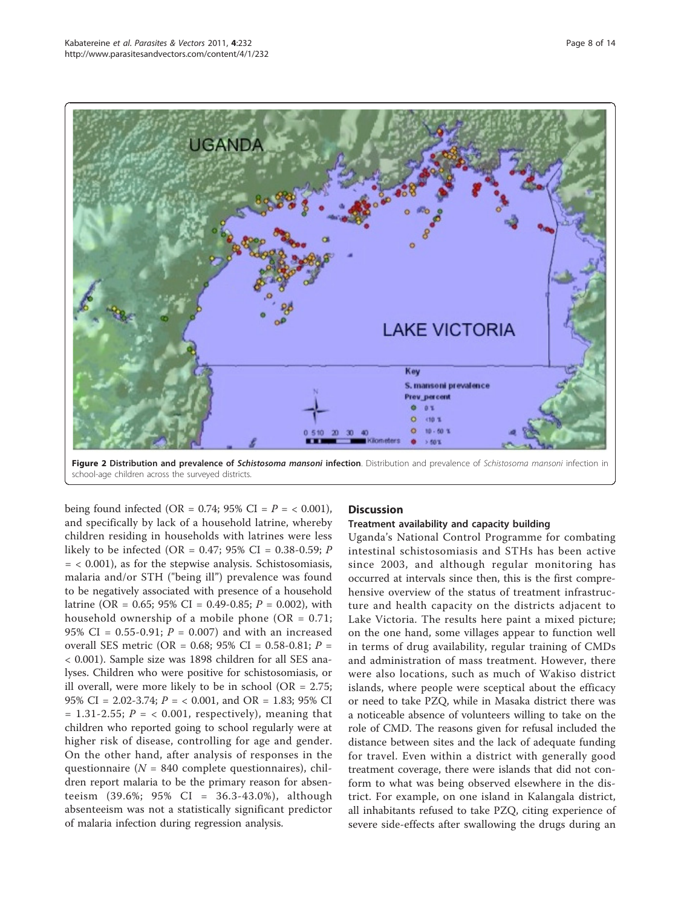<span id="page-7-0"></span>

Figure 2 Distribution and prevalence of Schistosoma mansoni infection. Distribution and prevalence of Schistosoma mansoni infection in school-age children across the surveyed districts.

being found infected (OR =  $0.74$ ; 95% CI =  $P = < 0.001$ ), and specifically by lack of a household latrine, whereby children residing in households with latrines were less likely to be infected (OR = 0.47;  $95\%$  CI = 0.38-0.59; P  $=$  < 0.001), as for the stepwise analysis. Schistosomiasis, malaria and/or STH ("being ill") prevalence was found to be negatively associated with presence of a household latrine (OR = 0.65; 95% CI = 0.49-0.85;  $P = 0.002$ ), with household ownership of a mobile phone ( $OR = 0.71$ ; 95% CI =  $0.55 - 0.91$ ;  $P = 0.007$ ) and with an increased overall SES metric (OR = 0.68; 95% CI = 0.58-0.81;  $P =$ < 0.001). Sample size was 1898 children for all SES analyses. Children who were positive for schistosomiasis, or ill overall, were more likely to be in school ( $OR = 2.75$ ; 95% CI = 2.02-3.74;  $P = 0.001$ , and OR = 1.83; 95% CI = 1.31-2.55;  $P =$  < 0.001, respectively), meaning that children who reported going to school regularly were at higher risk of disease, controlling for age and gender. On the other hand, after analysis of responses in the questionnaire ( $N = 840$  complete questionnaires), children report malaria to be the primary reason for absenteeism (39.6%; 95% CI = 36.3-43.0%), although absenteeism was not a statistically significant predictor of malaria infection during regression analysis.

#### **Discussion**

#### Treatment availability and capacity building

Uganda's National Control Programme for combating intestinal schistosomiasis and STHs has been active since 2003, and although regular monitoring has occurred at intervals since then, this is the first comprehensive overview of the status of treatment infrastructure and health capacity on the districts adjacent to Lake Victoria. The results here paint a mixed picture; on the one hand, some villages appear to function well in terms of drug availability, regular training of CMDs and administration of mass treatment. However, there were also locations, such as much of Wakiso district islands, where people were sceptical about the efficacy or need to take PZQ, while in Masaka district there was a noticeable absence of volunteers willing to take on the role of CMD. The reasons given for refusal included the distance between sites and the lack of adequate funding for travel. Even within a district with generally good treatment coverage, there were islands that did not conform to what was being observed elsewhere in the district. For example, on one island in Kalangala district, all inhabitants refused to take PZQ, citing experience of severe side-effects after swallowing the drugs during an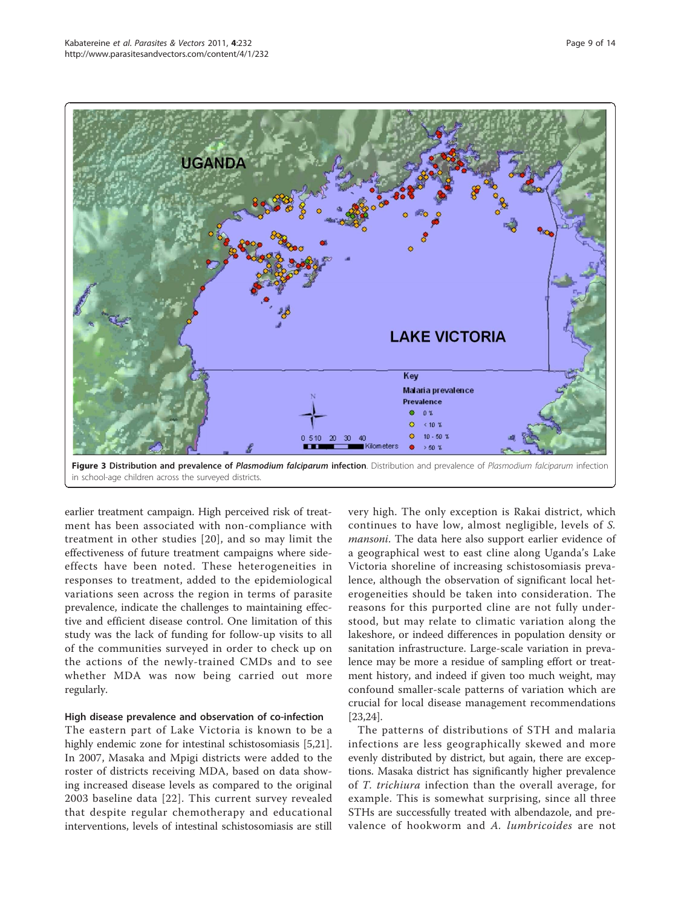<span id="page-8-0"></span>

Figure 3 Distribution and prevalence of Plasmodium falciparum infection. Distribution and prevalence of Plasmodium falciparum infection in school-age children across the surveyed districts.

earlier treatment campaign. High perceived risk of treatment has been associated with non-compliance with treatment in other studies [[20\]](#page-12-0), and so may limit the effectiveness of future treatment campaigns where sideeffects have been noted. These heterogeneities in responses to treatment, added to the epidemiological variations seen across the region in terms of parasite prevalence, indicate the challenges to maintaining effective and efficient disease control. One limitation of this study was the lack of funding for follow-up visits to all of the communities surveyed in order to check up on the actions of the newly-trained CMDs and to see whether MDA was now being carried out more regularly.

#### High disease prevalence and observation of co-infection

The eastern part of Lake Victoria is known to be a highly endemic zone for intestinal schistosomiasis [\[5,21](#page-12-0)]. In 2007, Masaka and Mpigi districts were added to the roster of districts receiving MDA, based on data showing increased disease levels as compared to the original 2003 baseline data [[22](#page-12-0)]. This current survey revealed that despite regular chemotherapy and educational interventions, levels of intestinal schistosomiasis are still very high. The only exception is Rakai district, which continues to have low, almost negligible, levels of S. mansoni. The data here also support earlier evidence of a geographical west to east cline along Uganda's Lake Victoria shoreline of increasing schistosomiasis prevalence, although the observation of significant local heterogeneities should be taken into consideration. The reasons for this purported cline are not fully understood, but may relate to climatic variation along the lakeshore, or indeed differences in population density or sanitation infrastructure. Large-scale variation in prevalence may be more a residue of sampling effort or treatment history, and indeed if given too much weight, may confound smaller-scale patterns of variation which are crucial for local disease management recommendations [[23,24\]](#page-12-0).

The patterns of distributions of STH and malaria infections are less geographically skewed and more evenly distributed by district, but again, there are exceptions. Masaka district has significantly higher prevalence of T. trichiura infection than the overall average, for example. This is somewhat surprising, since all three STHs are successfully treated with albendazole, and prevalence of hookworm and A. lumbricoides are not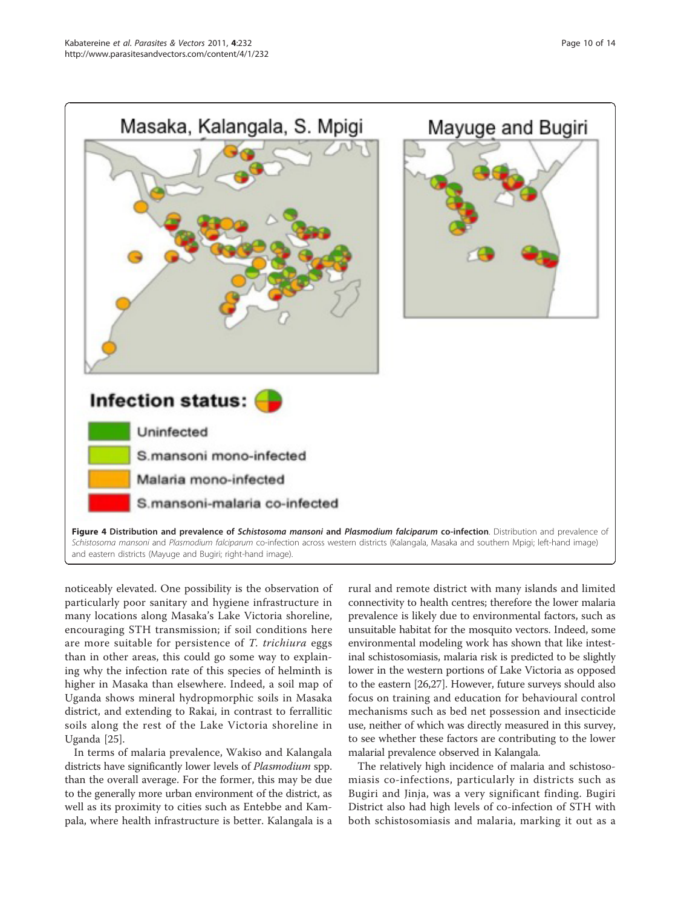<span id="page-9-0"></span>

noticeably elevated. One possibility is the observation of particularly poor sanitary and hygiene infrastructure in many locations along Masaka's Lake Victoria shoreline, encouraging STH transmission; if soil conditions here are more suitable for persistence of T. trichiura eggs than in other areas, this could go some way to explaining why the infection rate of this species of helminth is higher in Masaka than elsewhere. Indeed, a soil map of Uganda shows mineral hydropmorphic soils in Masaka district, and extending to Rakai, in contrast to ferrallitic soils along the rest of the Lake Victoria shoreline in Uganda [\[25\]](#page-12-0).

In terms of malaria prevalence, Wakiso and Kalangala districts have significantly lower levels of *Plasmodium* spp. than the overall average. For the former, this may be due to the generally more urban environment of the district, as well as its proximity to cities such as Entebbe and Kampala, where health infrastructure is better. Kalangala is a

rural and remote district with many islands and limited connectivity to health centres; therefore the lower malaria prevalence is likely due to environmental factors, such as unsuitable habitat for the mosquito vectors. Indeed, some environmental modeling work has shown that like intestinal schistosomiasis, malaria risk is predicted to be slightly lower in the western portions of Lake Victoria as opposed to the eastern [\[26,27](#page-12-0)]. However, future surveys should also focus on training and education for behavioural control mechanisms such as bed net possession and insecticide use, neither of which was directly measured in this survey, to see whether these factors are contributing to the lower malarial prevalence observed in Kalangala.

The relatively high incidence of malaria and schistosomiasis co-infections, particularly in districts such as Bugiri and Jinja, was a very significant finding. Bugiri District also had high levels of co-infection of STH with both schistosomiasis and malaria, marking it out as a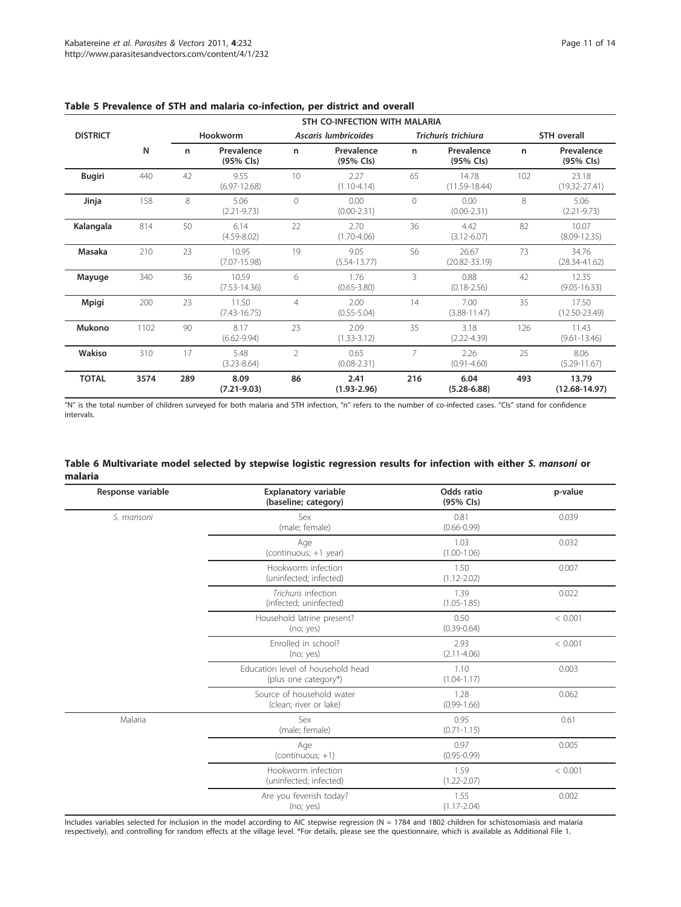|                 | STH CO-INFECTION WITH MALARIA |          |                           |                 |                           |          |                            |     |                            |  |  |
|-----------------|-------------------------------|----------|---------------------------|-----------------|---------------------------|----------|----------------------------|-----|----------------------------|--|--|
| <b>DISTRICT</b> |                               | Hookworm |                           |                 | Ascaris lumbricoides      |          | Trichuris trichiura        |     | STH overall                |  |  |
|                 | N                             | n        | Prevalence<br>(95% Cls)   | n               | Prevalence<br>$(95%$ Cls) | n        | Prevalence<br>(95% Cls)    | n   | Prevalence<br>(95% Cls)    |  |  |
| <b>Bugiri</b>   | 440                           | 42       | 9.55<br>$(6.97 - 12.68)$  | 10 <sup>1</sup> | 2.27<br>$(1.10 - 4.14)$   | 65       | 14.78<br>$(11.59 - 18.44)$ | 102 | 23.18<br>$(19.32 - 27.41)$ |  |  |
| Jinja           | 158                           | 8        | 5.06<br>$(2.21 - 9.73)$   | $\Omega$        | 0.00<br>$(0.00 - 2.31)$   | $\Omega$ | 0.00<br>$(0.00 - 2.31)$    | 8   | 5.06<br>$(2.21 - 9.73)$    |  |  |
| Kalangala       | 814                           | 50       | 6.14<br>$(4.59 - 8.02)$   | 22              | 2.70<br>$(1.70 - 4.06)$   | 36       | 4.42<br>$(3.12 - 6.07)$    | 82  | 10.07<br>$(8.09 - 12.35)$  |  |  |
| Masaka          | 210                           | 23       | 10.95<br>$(7.07 - 15.98)$ | 19              | 9.05<br>$(5.54 - 13.77)$  | 56       | 26.67<br>$(20.82 - 33.19)$ | 73  | 34.76<br>$(28.34 - 41.62)$ |  |  |
| Mayuge          | 340                           | 36       | 10.59<br>$(7.53 - 14.36)$ | 6               | 1.76<br>$(0.65 - 3.80)$   | 3        | 0.88<br>$(0.18 - 2.56)$    | 42  | 12.35<br>$(9.05 - 16.33)$  |  |  |
| Mpigi           | 200                           | 23       | 11.50<br>$(7.43 - 16.75)$ | $\overline{4}$  | 2.00<br>$(0.55 - 5.04)$   | 14       | 7.00<br>$(3.88 - 11.47)$   | 35  | 17.50<br>$(12.50 - 23.49)$ |  |  |
| Mukono          | 1102                          | 90       | 8.17<br>$(6.62 - 9.94)$   | 23              | 2.09<br>$(1.33 - 3.12)$   | 35       | 3.18<br>$(2.22 - 4.39)$    | 126 | 11.43<br>$(9.61 - 13.46)$  |  |  |
| Wakiso          | 310                           | 17       | 5.48<br>$(3.23 - 8.64)$   | $\overline{2}$  | 0.65<br>$(0.08 - 2.31)$   | 7        | 2.26<br>$(0.91 - 4.60)$    | 25  | 8.06<br>$(5.29 - 11.67)$   |  |  |
| <b>TOTAL</b>    | 3574                          | 289      | 8.09<br>$(7.21 - 9.03)$   | 86              | 2.41<br>$(1.93 - 2.96)$   | 216      | 6.04<br>$(5.28 - 6.88)$    | 493 | 13.79<br>$(12.68 - 14.97)$ |  |  |

#### <span id="page-10-0"></span>Table 5 Prevalence of STH and malaria co-infection, per district and overall

"N" is the total number of children surveyed for both malaria and STH infection, "n" refers to the number of co-infected cases. "CIs" stand for confidence intervals.

# Table 6 Multivariate model selected by stepwise logistic regression results for infection with either S. mansoni or malaria

| Response variable | <b>Explanatory variable</b><br>(baseline; category)       | Odds ratio<br>(95% Cls) | p-value |
|-------------------|-----------------------------------------------------------|-------------------------|---------|
| S. mansoni        | Sex<br>(male; female)                                     | 0.81<br>$(0.66 - 0.99)$ | 0.039   |
|                   | Age<br>(continuous; +1 year)                              | 1.03<br>$(1.00 - 1.06)$ | 0.032   |
|                   | Hookworm infection<br>(uninfected; infected)              | 1.50<br>$(1.12 - 2.02)$ | 0.007   |
|                   | Trichuris infection<br>(infected; uninfected)             | 1.39<br>$(1.05 - 1.85)$ | 0.022   |
|                   | Household latrine present?<br>(no; yes)                   | 0.50<br>$(0.39 - 0.64)$ | < 0.001 |
|                   | Enrolled in school?<br>(no; yes)                          | 2.93<br>$(2.11 - 4.06)$ | < 0.001 |
|                   | Education level of household head<br>(plus one category*) | 1.10<br>$(1.04 - 1.17)$ | 0.003   |
|                   | Source of household water<br>(clean; river or lake)       | 1.28<br>$(0.99 - 1.66)$ | 0.062   |
| Malaria           | Sex<br>(male; female)                                     | 0.95<br>$(0.71 - 1.15)$ | 0.61    |
|                   | Age<br>$(continuous; +1)$                                 | 0.97<br>$(0.95 - 0.99)$ | 0.005   |
|                   | Hookworm infection<br>(uninfected; infected)              | 1.59<br>$(1.22 - 2.07)$ | < 0.001 |
|                   | Are you feverish today?<br>(no; yes)                      | 1.55<br>$(1.17 - 2.04)$ | 0.002   |

Includes variables selected for inclusion in the model according to AIC stepwise regression (N = 1784 and 1802 children for schistosomiasis and malaria respectively), and controlling for random effects at the village level. \*For details, please see the questionnaire, which is available as Additional File [1.](#page-12-0)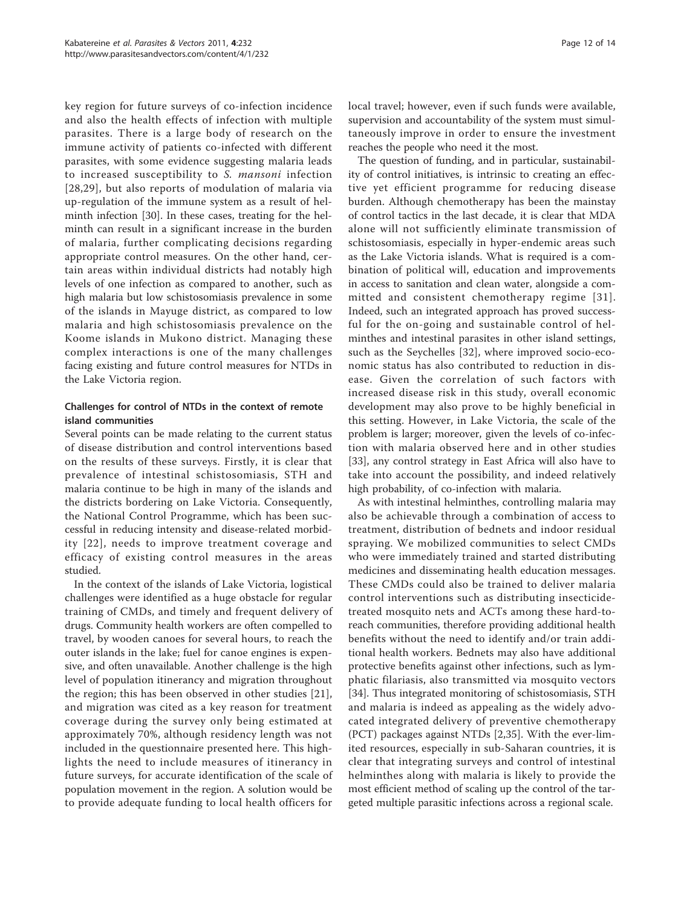key region for future surveys of co-infection incidence and also the health effects of infection with multiple parasites. There is a large body of research on the immune activity of patients co-infected with different parasites, with some evidence suggesting malaria leads to increased susceptibility to S. mansoni infection [[28](#page-12-0),[29](#page-12-0)], but also reports of modulation of malaria via up-regulation of the immune system as a result of helminth infection [\[30\]](#page-13-0). In these cases, treating for the helminth can result in a significant increase in the burden of malaria, further complicating decisions regarding appropriate control measures. On the other hand, certain areas within individual districts had notably high levels of one infection as compared to another, such as high malaria but low schistosomiasis prevalence in some of the islands in Mayuge district, as compared to low malaria and high schistosomiasis prevalence on the Koome islands in Mukono district. Managing these complex interactions is one of the many challenges facing existing and future control measures for NTDs in the Lake Victoria region.

# Challenges for control of NTDs in the context of remote island communities

Several points can be made relating to the current status of disease distribution and control interventions based on the results of these surveys. Firstly, it is clear that prevalence of intestinal schistosomiasis, STH and malaria continue to be high in many of the islands and the districts bordering on Lake Victoria. Consequently, the National Control Programme, which has been successful in reducing intensity and disease-related morbidity [[22\]](#page-12-0), needs to improve treatment coverage and efficacy of existing control measures in the areas studied.

In the context of the islands of Lake Victoria, logistical challenges were identified as a huge obstacle for regular training of CMDs, and timely and frequent delivery of drugs. Community health workers are often compelled to travel, by wooden canoes for several hours, to reach the outer islands in the lake; fuel for canoe engines is expensive, and often unavailable. Another challenge is the high level of population itinerancy and migration throughout the region; this has been observed in other studies [[21](#page-12-0)], and migration was cited as a key reason for treatment coverage during the survey only being estimated at approximately 70%, although residency length was not included in the questionnaire presented here. This highlights the need to include measures of itinerancy in future surveys, for accurate identification of the scale of population movement in the region. A solution would be to provide adequate funding to local health officers for

local travel; however, even if such funds were available, supervision and accountability of the system must simultaneously improve in order to ensure the investment reaches the people who need it the most.

The question of funding, and in particular, sustainability of control initiatives, is intrinsic to creating an effective yet efficient programme for reducing disease burden. Although chemotherapy has been the mainstay of control tactics in the last decade, it is clear that MDA alone will not sufficiently eliminate transmission of schistosomiasis, especially in hyper-endemic areas such as the Lake Victoria islands. What is required is a combination of political will, education and improvements in access to sanitation and clean water, alongside a committed and consistent chemotherapy regime [[31\]](#page-13-0). Indeed, such an integrated approach has proved successful for the on-going and sustainable control of helminthes and intestinal parasites in other island settings, such as the Seychelles [[32\]](#page-13-0), where improved socio-economic status has also contributed to reduction in disease. Given the correlation of such factors with increased disease risk in this study, overall economic development may also prove to be highly beneficial in this setting. However, in Lake Victoria, the scale of the problem is larger; moreover, given the levels of co-infection with malaria observed here and in other studies [[33\]](#page-13-0), any control strategy in East Africa will also have to take into account the possibility, and indeed relatively high probability, of co-infection with malaria.

As with intestinal helminthes, controlling malaria may also be achievable through a combination of access to treatment, distribution of bednets and indoor residual spraying. We mobilized communities to select CMDs who were immediately trained and started distributing medicines and disseminating health education messages. These CMDs could also be trained to deliver malaria control interventions such as distributing insecticidetreated mosquito nets and ACTs among these hard-toreach communities, therefore providing additional health benefits without the need to identify and/or train additional health workers. Bednets may also have additional protective benefits against other infections, such as lymphatic filariasis, also transmitted via mosquito vectors [[34\]](#page-13-0). Thus integrated monitoring of schistosomiasis, STH and malaria is indeed as appealing as the widely advocated integrated delivery of preventive chemotherapy (PCT) packages against NTDs [\[2](#page-12-0),[35](#page-13-0)]. With the ever-limited resources, especially in sub-Saharan countries, it is clear that integrating surveys and control of intestinal helminthes along with malaria is likely to provide the most efficient method of scaling up the control of the targeted multiple parasitic infections across a regional scale.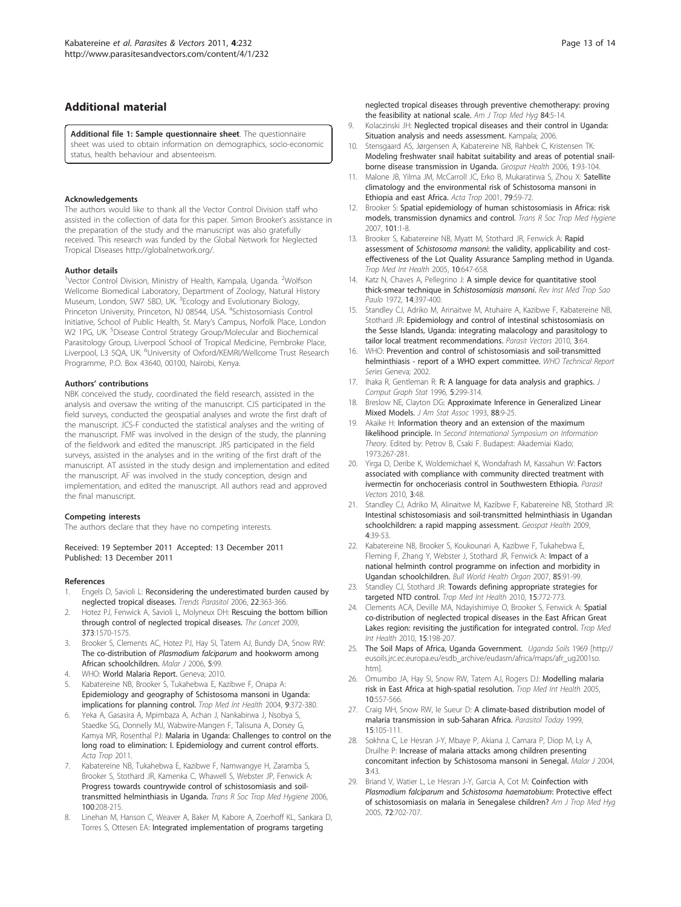# <span id="page-12-0"></span>Additional material

[Additional file 1: S](http://www.biomedcentral.com/content/supplementary/1756-3305-4-232-S1.PDF)ample questionnaire sheet. The questionnaire sheet was used to obtain information on demographics, socio-economic status, health behaviour and absenteeism.

#### Acknowledgements

The authors would like to thank all the Vector Control Division staff who assisted in the collection of data for this paper. Simon Brooker's assistance in the preparation of the study and the manuscript was also gratefully received. This research was funded by the Global Network for Neglected Tropical Diseases<http://globalnetwork.org/>.

#### Author details

<sup>1</sup>Vector Control Division, Ministry of Health, Kampala, Uganda. <sup>2</sup>Wolfson Wellcome Biomedical Laboratory, Department of Zoology, Natural History<br>Museum, London, SW7 5BD, UK. <sup>3</sup>Ecology and Evolutionary Biology, Princeton University, Princeton, NJ 08544, USA. <sup>4</sup>Schistosomiasis Control Initiative, School of Public Health, St. Mary's Campus, Norfolk Place, London W2 1PG, UK. <sup>5</sup>Disease Control Strategy Group/Molecular and Biochemical Parasitology Group, Liverpool School of Tropical Medicine, Pembroke Place, Liverpool, L3 5QA, UK. <sup>6</sup>University of Oxford/KEMRI/Wellcome Trust Research Programme, P.O. Box 43640, 00100, Nairobi, Kenya.

#### Authors' contributions

NBK conceived the study, coordinated the field research, assisted in the analysis and oversaw the writing of the manuscript. CJS participated in the field surveys, conducted the geospatial analyses and wrote the first draft of the manuscript. JCS-F conducted the statistical analyses and the writing of the manuscript. FMF was involved in the design of the study, the planning of the fieldwork and edited the manuscript. JRS participated in the field surveys, assisted in the analyses and in the writing of the first draft of the manuscript. AT assisted in the study design and implementation and edited the manuscript. AF was involved in the study conception, design and implementation, and edited the manuscript. All authors read and approved the final manuscript.

#### Competing interests

The authors declare that they have no competing interests.

Received: 19 September 2011 Accepted: 13 December 2011 Published: 13 December 2011

#### References

- 1. Engels D, Savioli L: [Reconsidering the underestimated burden caused by](http://www.ncbi.nlm.nih.gov/pubmed/16798088?dopt=Abstract) [neglected tropical diseases.](http://www.ncbi.nlm.nih.gov/pubmed/16798088?dopt=Abstract) Trends Parasitol 2006, 22:363-366.
- 2. Hotez PJ, Fenwick A, Savioli L, Molyneux DH: Rescuing the bottom billion through control of neglected tropical diseases. The Lancet 2009, 373:1570-1575.
- 3. Brooker S, Clements AC, Hotez PJ, Hay SI, Tatem AJ, Bundy DA, Snow RW: The co-distribution of Plasmodium falciparum [and hookworm among](http://www.ncbi.nlm.nih.gov/pubmed/17083720?dopt=Abstract) [African schoolchildren.](http://www.ncbi.nlm.nih.gov/pubmed/17083720?dopt=Abstract) Malar J 2006, 5:99.
- WHO: World Malaria Report. Geneva; 2010.
- 5. Kabatereine NB, Brooker S, Tukahebwa E, Kazibwe F, Onapa A: [Epidemiology and geography of Schistosoma mansoni in Uganda:](http://www.ncbi.nlm.nih.gov/pubmed/14996367?dopt=Abstract) [implications for planning control.](http://www.ncbi.nlm.nih.gov/pubmed/14996367?dopt=Abstract) Trop Med Int Health 2004, 9:372-380.
- 6. Yeka A, Gasasira A, Mpimbaza A, Achan J, Nankabirwa J, Nsobya S, Staedke SG, Donnelly MJ, Wabwire-Mangen F, Talisuna A, Dorsey G, Kamya MR, Rosenthal PJ: Malaria in Uganda: Challenges to control on the long road to elimination: I. Epidemiology and current control efforts. Acta Trop 2011.
- 7. Kabatereine NB, Tukahebwa E, Kazibwe F, Namwangye H, Zaramba S, Brooker S, Stothard JR, Kamenka C, Whawell S, Webster JP, Fenwick A: Progress towards countrywide control of schistosomiasis and soiltransmitted helminthiasis in Uganda. Trans R Soc Trop Med Hygiene 2006, 100:208-215.
- 8. Linehan M, Hanson C, Weaver A, Baker M, Kabore A, Zoerhoff KL, Sankara D, Torres S, Ottesen EA: Integrated implementation of programs targeting

neglected tropical diseases through preventive chemotherapy: proving the feasibility at national scale. Am J Trop Med Hyg 84:5-14.

- 9. Kolaczinski JH: Neglected tropical diseases and their control in Uganda: Situation analysis and needs assessment. Kampala; 2006.
- 10. Stensgaard AS, Jørgensen A, Kabatereine NB, Rahbek C, Kristensen TK: [Modeling freshwater snail habitat suitability and areas of potential snail](http://www.ncbi.nlm.nih.gov/pubmed/18686235?dopt=Abstract)[borne disease transmission in Uganda.](http://www.ncbi.nlm.nih.gov/pubmed/18686235?dopt=Abstract) Geospat Health 2006, 1:93-104.
- 11. Malone JB, Yilma JM, McCarroll JC, Erko B, Mukaratirwa S, Zhou X: [Satellite](http://www.ncbi.nlm.nih.gov/pubmed/11378142?dopt=Abstract) [climatology and the environmental risk of Schistosoma mansoni in](http://www.ncbi.nlm.nih.gov/pubmed/11378142?dopt=Abstract) [Ethiopia and east Africa.](http://www.ncbi.nlm.nih.gov/pubmed/11378142?dopt=Abstract) Acta Trop 2001, 79:59-72.
- 12. Brooker S: Spatial epidemiology of human schistosomiasis in Africa: risk models, transmission dynamics and control. Trans R Soc Trop Med Hygiene 2007, 101:1-8.
- 13. Brooker S, Kabatereine NB, Myatt M, Stothard JR, Fenwick A: [Rapid](http://www.ncbi.nlm.nih.gov/pubmed/15960703?dopt=Abstract) assessment of Schistosoma mansoni[: the validity, applicability and cost](http://www.ncbi.nlm.nih.gov/pubmed/15960703?dopt=Abstract)[effectiveness of the Lot Quality Assurance Sampling method in Uganda.](http://www.ncbi.nlm.nih.gov/pubmed/15960703?dopt=Abstract) Trop Med Int Health 2005, 10:647-658.
- 14. Katz N, Chaves A, Pellegrino J: [A simple device for quantitative stool](http://www.ncbi.nlm.nih.gov/pubmed/4675644?dopt=Abstract) [thick-smear technique in](http://www.ncbi.nlm.nih.gov/pubmed/4675644?dopt=Abstract) Schistosomiasis mansoni. Rev Inst Med Trop Sao Paulo 1972, 14:397-400.
- 15. Standley CJ, Adriko M, Arinaitwe M, Atuhaire A, Kazibwe F, Kabatereine NB, Stothard JR: [Epidemiology and control of intestinal schistosomiasis on](http://www.ncbi.nlm.nih.gov/pubmed/20663223?dopt=Abstract) [the Sesse Islands, Uganda: integrating malacology and parasitology to](http://www.ncbi.nlm.nih.gov/pubmed/20663223?dopt=Abstract) [tailor local treatment recommendations.](http://www.ncbi.nlm.nih.gov/pubmed/20663223?dopt=Abstract) Parasit Vectors 2010, 3:64
- 16. WHO: Prevention and control of schistosomiasis and soil-transmitted helminthiasis - report of a WHO expert committee. WHO Technical Report Series Geneva; 2002.
- 17. Ihaka R, Gentleman R: R: A language for data analysis and graphics. J Comput Graph Stat 1996, 5:299-314.
- 18. Breslow NE, Clayton DG: Approximate Inference in Generalized Linear Mixed Models. J Am Stat Assoc 1993, 88:9-25.
- 19. Akaike H: Information theory and an extension of the maximum likelihood principle. In Second International Symposium on Information Theory. Edited by: Petrov B, Csaki F. Budapest: Akademiai Kiado; 1973:267-281.
- 20. Yirga D, Deribe K, Woldemichael K, Wondafrash M, Kassahun W: [Factors](http://www.ncbi.nlm.nih.gov/pubmed/20525182?dopt=Abstract) [associated with compliance with community directed treatment with](http://www.ncbi.nlm.nih.gov/pubmed/20525182?dopt=Abstract) [ivermectin for onchoceriasis control in Southwestern Ethiopia.](http://www.ncbi.nlm.nih.gov/pubmed/20525182?dopt=Abstract) Parasit Vectors 2010, 3:48.
- 21. Standley CJ, Adriko M, Alinaitwe M, Kazibwe F, Kabatereine NB, Stothard JR: [Intestinal schistosomiasis and soil-transmitted helminthiasis in Ugandan](http://www.ncbi.nlm.nih.gov/pubmed/19908189?dopt=Abstract) [schoolchildren: a rapid mapping assessment.](http://www.ncbi.nlm.nih.gov/pubmed/19908189?dopt=Abstract) Geospat Health 2009, 4:39-53.
- 22. Kabatereine NB, Brooker S, Koukounari A, Kazibwe F, Tukahebwa E, Fleming F, Zhang Y, Webster J, Stothard JR, Fenwick A: [Impact of a](http://www.ncbi.nlm.nih.gov/pubmed/17308729?dopt=Abstract) [national helminth control programme on infection and morbidity in](http://www.ncbi.nlm.nih.gov/pubmed/17308729?dopt=Abstract) [Ugandan schoolchildren.](http://www.ncbi.nlm.nih.gov/pubmed/17308729?dopt=Abstract) Bull World Health Organ 2007, 85:91-99.
- 23. Standley CJ, Stothard JR: [Towards defining appropriate strategies for](http://www.ncbi.nlm.nih.gov/pubmed/20406429?dopt=Abstract) [targeted NTD control.](http://www.ncbi.nlm.nih.gov/pubmed/20406429?dopt=Abstract) Trop Med Int Health 2010, 15:772-773.
- 24. Clements ACA, Deville MA, Ndayishimiye O, Brooker S, Fenwick A: [Spatial](http://www.ncbi.nlm.nih.gov/pubmed/20409287?dopt=Abstract) [co-distribution of neglected tropical diseases in the East African Great](http://www.ncbi.nlm.nih.gov/pubmed/20409287?dopt=Abstract) [Lakes region: revisiting the justification for integrated control.](http://www.ncbi.nlm.nih.gov/pubmed/20409287?dopt=Abstract) Trop Med Int Health 2010, 15:198-207.
- 25. The Soil Maps of Africa, Uganda Government. Uganda Soils 1969 [\[http://](http://eusoils.jrc.ec.europa.eu/esdb_archive/eudasm/africa/maps/afr_ug2001so.htm) [eusoils.jrc.ec.europa.eu/esdb\\_archive/eudasm/africa/maps/afr\\_ug2001so.](http://eusoils.jrc.ec.europa.eu/esdb_archive/eudasm/africa/maps/afr_ug2001so.htm) [htm](http://eusoils.jrc.ec.europa.eu/esdb_archive/eudasm/africa/maps/afr_ug2001so.htm)].
- 26. Omumbo JA, Hay SI, Snow RW, Tatem AJ, Rogers DJ: [Modelling malaria](http://www.ncbi.nlm.nih.gov/pubmed/15941419?dopt=Abstract) [risk in East Africa at high-spatial resolution.](http://www.ncbi.nlm.nih.gov/pubmed/15941419?dopt=Abstract) Trop Med Int Health 2005, 10:557-566.
- 27. Craig MH, Snow RW, le Sueur D: [A climate-based distribution model of](http://www.ncbi.nlm.nih.gov/pubmed/10322323?dopt=Abstract) [malaria transmission in sub-Saharan Africa.](http://www.ncbi.nlm.nih.gov/pubmed/10322323?dopt=Abstract) Parasitol Today 1999, 15:105-111.
- 28. Sokhna C, Le Hesran J-Y, Mbaye P, Akiana J, Camara P, Diop M, Ly A, Druilhe P: [Increase of malaria attacks among children presenting](http://www.ncbi.nlm.nih.gov/pubmed/15544703?dopt=Abstract) [concomitant infection by Schistosoma mansoni in Senegal.](http://www.ncbi.nlm.nih.gov/pubmed/15544703?dopt=Abstract) Malar J 2004, 3:43.
- 29. Briand V, Watier L, Le Hesran J-Y, Garcia A, Cot M: [Coinfection with](http://www.ncbi.nlm.nih.gov/pubmed/15964953?dopt=Abstract) [Plasmodium falciparum](http://www.ncbi.nlm.nih.gov/pubmed/15964953?dopt=Abstract) and Schistosoma haematobium: Protective effect [of schistosomiasis on malaria in Senegalese children?](http://www.ncbi.nlm.nih.gov/pubmed/15964953?dopt=Abstract) Am J Trop Med Hyg 2005, 72:702-707.